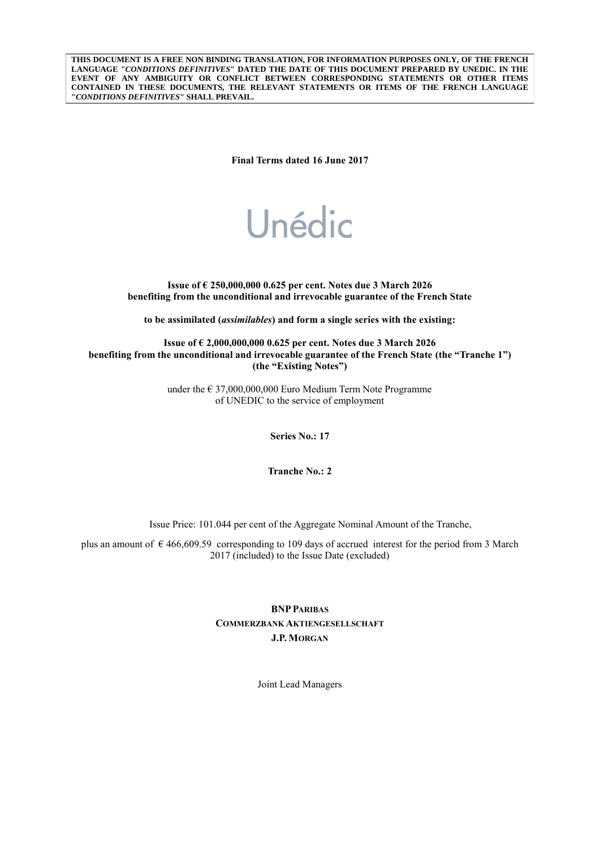**THIS DOCUMENT IS A FREE NON BINDING TRANSLATION, FOR INFORMATION PURPOSES ONLY, OF THE FRENCH LANGUAGE "***CONDITIONS DEFINITIVES***" DATED THE DATE OF THIS DOCUMENT PREPARED BY UNEDIC. IN THE EVENT OF ANY AMBIGUITY OR CONFLICT BETWEEN CORRESPONDING STATEMENTS OR OTHER ITEMS CONTAINED IN THESE DOCUMENTS, THE RELEVANT STATEMENTS OR ITEMS OF THE FRENCH LANGUAGE "***CONDITIONS DEFINITIVES***" SHALL PREVAIL.**

**Final Terms dated 16 June 2017**

# Unédic

**Issue of € 250,000,000 0.625 per cent. Notes due 3 March 2026 benefiting from the unconditional and irrevocable guarantee of the French State**

**to be assimilated (***assimilables***) and form a single series with the existing:**

**Issue of € 2,000,000,000 0.625 per cent. Notes due 3 March 2026 benefiting from the unconditional and irrevocable guarantee of the French State (the "Tranche 1") (the "Existing Notes")**

> under the  $\epsilon$  37,000,000,000 Euro Medium Term Note Programme of UNEDIC to the service of employment

> > **Series No.: 17**

**Tranche No.: 2**

Issue Price: 101.044 per cent of the Aggregate Nominal Amount of the Tranche,

plus an amount of  $\epsilon$  466,609.59 corresponding to 109 days of accrued interest for the period from 3 March 2017 (included) to the Issue Date (excluded)

## **BNPPARIBAS COMMERZBANK AKTIENGESELLSCHAFT J.P. MORGAN**

Joint Lead Managers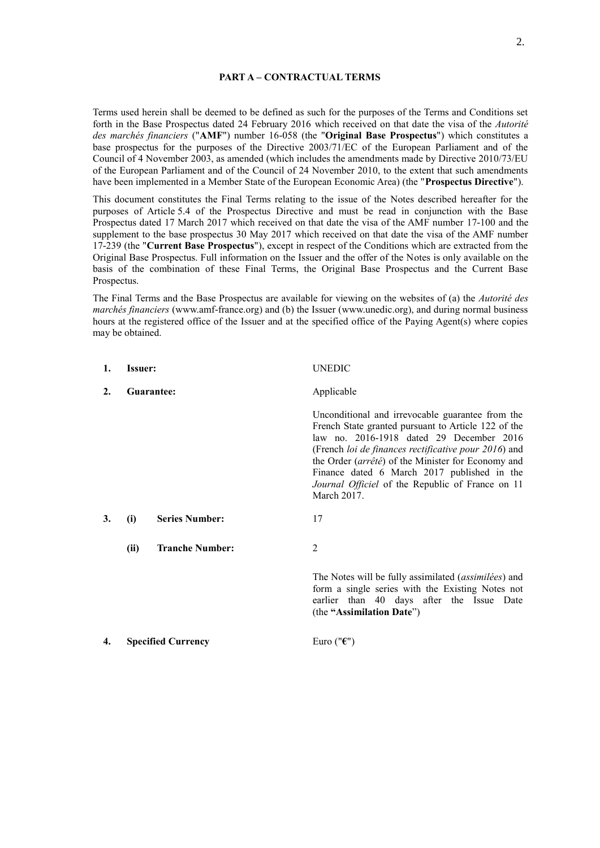#### **PART A – CONTRACTUAL TERMS**

Terms used herein shall be deemed to be defined as such for the purposes of the Terms and Conditions set forth in the Base Prospectus dated 24 February 2016 which received on that date the visa of the *Autorité des marchés financiers* ("**AMF**") number 16-058 (the "**Original Base Prospectus**") which constitutes a base prospectus for the purposes of the Directive 2003/71/EC of the European Parliament and of the Council of 4 November 2003, as amended (which includes the amendments made by Directive 2010/73/EU of the European Parliament and of the Council of 24 November 2010, to the extent that such amendments have been implemented in a Member State of the European Economic Area) (the "**Prospectus Directive**").

This document constitutes the Final Terms relating to the issue of the Notes described hereafter for the purposes of Article 5.4 of the Prospectus Directive and must be read in conjunction with the Base Prospectus dated 17 March 2017 which received on that date the visa of the AMF number 17-100 and the supplement to the base prospectus 30 May 2017 which received on that date the visa of the AMF number 17-239 (the "**Current Base Prospectus**"), except in respect of the Conditions which are extracted from the Original Base Prospectus. Full information on the Issuer and the offer of the Notes is only available on the basis of the combination of these Final Terms, the Original Base Prospectus and the Current Base Prospectus.

The Final Terms and the Base Prospectus are available for viewing on the websites of (a) the *Autorité des marchés financiers* (www.amf-france.org) and (b) the Issuer (www.unedic.org), and during normal business hours at the registered office of the Issuer and at the specified office of the Paying Agent(s) where copies may be obtained.

| 1. | <b>Issuer:</b>                 | <b>UNEDIC</b>                                                                                                                                                                                                                                                                                                                                                                       |
|----|--------------------------------|-------------------------------------------------------------------------------------------------------------------------------------------------------------------------------------------------------------------------------------------------------------------------------------------------------------------------------------------------------------------------------------|
| 2. | Guarantee:                     | Applicable                                                                                                                                                                                                                                                                                                                                                                          |
|    |                                | Unconditional and irrevocable guarantee from the<br>French State granted pursuant to Article 122 of the<br>law no. 2016-1918 dated 29 December 2016<br>(French loi de finances rectificative pour 2016) and<br>the Order (arrêté) of the Minister for Economy and<br>Finance dated 6 March 2017 published in the<br>Journal Officiel of the Republic of France on 11<br>March 2017. |
| 3. | <b>Series Number:</b><br>(i)   | 17                                                                                                                                                                                                                                                                                                                                                                                  |
|    | <b>Tranche Number:</b><br>(ii) | 2                                                                                                                                                                                                                                                                                                                                                                                   |
|    |                                | The Notes will be fully assimilated ( <i>assimilées</i> ) and<br>form a single series with the Existing Notes not<br>earlier than 40 days after the Issue Date<br>(the "Assimilation Date")                                                                                                                                                                                         |
| 4. | <b>Specified Currency</b>      | Euro (" $\epsilon$ ")                                                                                                                                                                                                                                                                                                                                                               |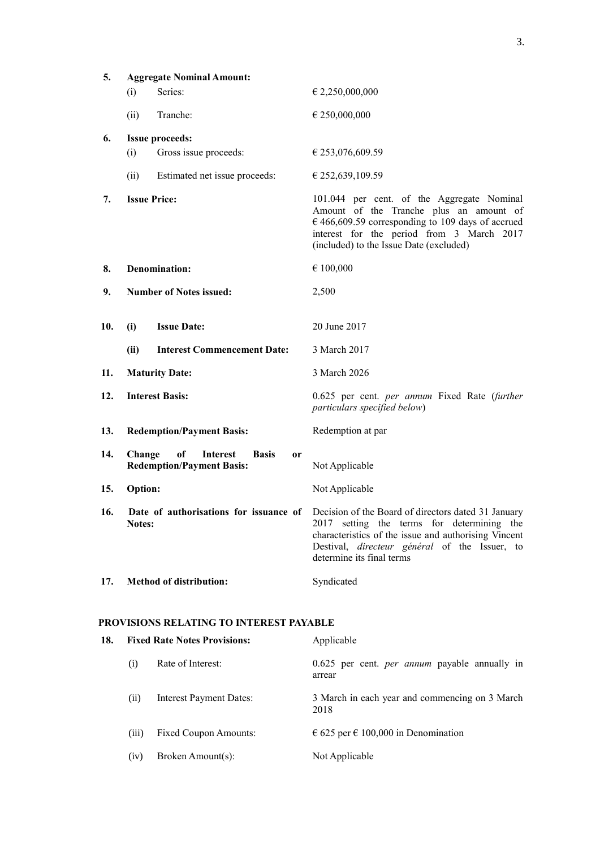| 5.  |         | <b>Aggregate Nominal Amount:</b>                                                       |                                                                                                                                                                                                                                             |
|-----|---------|----------------------------------------------------------------------------------------|---------------------------------------------------------------------------------------------------------------------------------------------------------------------------------------------------------------------------------------------|
|     | (i)     | Series:                                                                                | € 2,250,000,000                                                                                                                                                                                                                             |
|     | (ii)    | Tranche:                                                                               | € 250,000,000                                                                                                                                                                                                                               |
| 6.  |         | <b>Issue proceeds:</b>                                                                 |                                                                                                                                                                                                                                             |
|     | (i)     | Gross issue proceeds:                                                                  | € 253,076,609.59                                                                                                                                                                                                                            |
|     | (ii)    | Estimated net issue proceeds:                                                          | € 252,639,109.59                                                                                                                                                                                                                            |
| 7.  |         | <b>Issue Price:</b>                                                                    | 101.044 per cent. of the Aggregate Nominal<br>Amount of the Tranche plus an amount of<br>$\epsilon$ 466,609.59 corresponding to 109 days of accrued<br>interest for the period from 3 March 2017<br>(included) to the Issue Date (excluded) |
| 8.  |         | <b>Denomination:</b>                                                                   | € 100,000                                                                                                                                                                                                                                   |
| 9.  |         | <b>Number of Notes issued:</b>                                                         | 2,500                                                                                                                                                                                                                                       |
| 10. | (i)     | <b>Issue Date:</b>                                                                     | 20 June 2017                                                                                                                                                                                                                                |
|     | (ii)    | <b>Interest Commencement Date:</b>                                                     | 3 March 2017                                                                                                                                                                                                                                |
| 11. |         | <b>Maturity Date:</b>                                                                  | 3 March 2026                                                                                                                                                                                                                                |
| 12. |         | <b>Interest Basis:</b>                                                                 | 0.625 per cent. <i>per annum</i> Fixed Rate (further<br>particulars specified below)                                                                                                                                                        |
| 13. |         | <b>Redemption/Payment Basis:</b>                                                       | Redemption at par                                                                                                                                                                                                                           |
| 14. | Change  | of<br><b>Interest</b><br><b>Basis</b><br><b>or</b><br><b>Redemption/Payment Basis:</b> | Not Applicable                                                                                                                                                                                                                              |
| 15. | Option: |                                                                                        | Not Applicable                                                                                                                                                                                                                              |
| 16. | Notes:  | Date of authorisations for issuance of                                                 | Decision of the Board of directors dated 31 January<br>2017 setting the terms for determining the<br>characteristics of the issue and authorising Vincent<br>Destival, directeur général of the Issuer, to<br>determine its final terms     |
| 17. |         | <b>Method of distribution:</b>                                                         | Syndicated                                                                                                                                                                                                                                  |
|     |         | <b>PROVISIONS RELATING TO INTEREST PAYABLE</b>                                         |                                                                                                                                                                                                                                             |
| 18. |         | <b>Fixed Rate Notes Provisions:</b>                                                    | Applicable                                                                                                                                                                                                                                  |

|  |       | TIACU INAIC INDICS TTUVISIONS. | 110010000                                                      |  |
|--|-------|--------------------------------|----------------------------------------------------------------|--|
|  | (i)   | Rate of Interest:              | 0.625 per cent. <i>per annum</i> payable annually in<br>arrear |  |
|  | (ii)  | <b>Interest Payment Dates:</b> | 3 March in each year and commencing on 3 March<br>2018         |  |
|  | (iii) | Fixed Coupon Amounts:          | € 625 per € 100,000 in Denomination                            |  |
|  | (iv)  | Broken Amount(s):              | Not Applicable                                                 |  |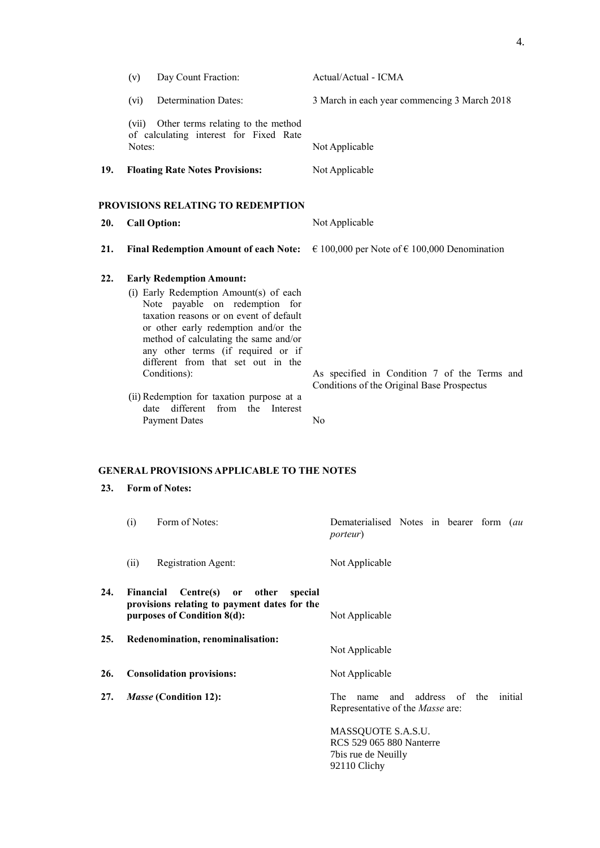|            | Day Count Fraction:<br>(v)                                                                                                                                                                                                                                                                                                          | Actual/Actual - ICMA                                                                                                          |
|------------|-------------------------------------------------------------------------------------------------------------------------------------------------------------------------------------------------------------------------------------------------------------------------------------------------------------------------------------|-------------------------------------------------------------------------------------------------------------------------------|
|            | <b>Determination Dates:</b><br>(vi)                                                                                                                                                                                                                                                                                                 | 3 March in each year commencing 3 March 2018                                                                                  |
|            | (vii) Other terms relating to the method<br>of calculating interest for Fixed Rate<br>Notes:                                                                                                                                                                                                                                        | Not Applicable                                                                                                                |
| 19.        | <b>Floating Rate Notes Provisions:</b>                                                                                                                                                                                                                                                                                              | Not Applicable                                                                                                                |
| 20.<br>21. | PROVISIONS RELATING TO REDEMPTION<br><b>Call Option:</b>                                                                                                                                                                                                                                                                            | Not Applicable<br><b>Final Redemption Amount of each Note:</b> $\epsilon$ 100,000 per Note of $\epsilon$ 100,000 Denomination |
| 22.        | <b>Early Redemption Amount:</b><br>(i) Early Redemption Amount(s) of each<br>Note payable on redemption for<br>taxation reasons or on event of default<br>or other early redemption and/or the<br>method of calculating the same and/or<br>any other terms (if required or if<br>different from that set out in the<br>Conditions): | As specified in Condition 7 of the Terms and                                                                                  |

Conditions of the Original Base Prospectus

4.

(ii) Redemption for taxation purpose at a date different from the Interest Payment Dates No

## **GENERAL PROVISIONS APPLICABLE TO THE NOTES**

## **23. Form of Notes:**

|     | (i)              | Form of Notes:                                                                                               | Dematerialised Notes in bearer form (au<br><i>porteur</i> )                                 |
|-----|------------------|--------------------------------------------------------------------------------------------------------------|---------------------------------------------------------------------------------------------|
|     | (ii)             | Registration Agent:                                                                                          | Not Applicable                                                                              |
| 24. | <b>Financial</b> | Centre(s) or other<br>special<br>provisions relating to payment dates for the<br>purposes of Condition 8(d): | Not Applicable                                                                              |
| 25. |                  | Redenomination, renominalisation:                                                                            | Not Applicable                                                                              |
| 26. |                  | <b>Consolidation provisions:</b>                                                                             | Not Applicable                                                                              |
| 27. |                  | Masse (Condition 12):                                                                                        | address of the<br>and<br>initial<br>The.<br>name<br>Representative of the <i>Masse</i> are: |
|     |                  |                                                                                                              | MASSQUOTE S.A.S.U.<br>RCS 529 065 880 Nanterre<br>7 bis rue de Neuilly                      |

92110 Clichy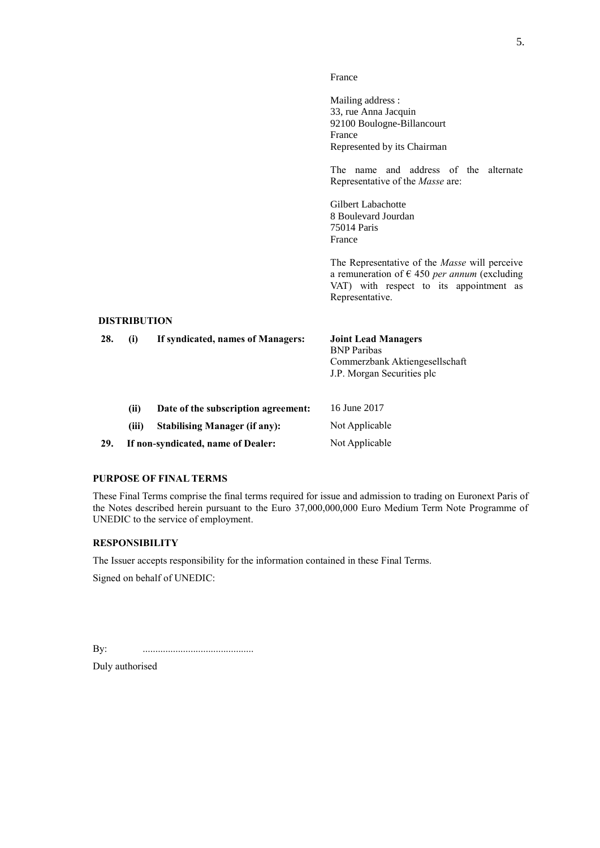#### France

Mailing address : 33, rue Anna Jacquin 92100 Boulogne-Billancourt France Represented by its Chairman

The name and address of the alternate Representative of the *Masse* are:

Gilbert Labachotte 8 Boulevard Jourdan 75014 Paris France

The Representative of the *Masse* will perceive a remuneration of € 450 *per annum* (excluding VAT) with respect to its appointment as Representative.

## **DISTRIBUTION**

| 28. | (i)   | If syndicated, names of Managers:    | <b>Joint Lead Managers</b><br><b>BNP</b> Paribas<br>Commerzbank Aktiengesellschaft<br>J.P. Morgan Securities plc |
|-----|-------|--------------------------------------|------------------------------------------------------------------------------------------------------------------|
|     | (ii)  | Date of the subscription agreement:  | 16 June 2017                                                                                                     |
|     | (iii) | <b>Stabilising Manager (if any):</b> | Not Applicable                                                                                                   |
| 29. |       | If non-syndicated, name of Dealer:   | Not Applicable                                                                                                   |

#### **PURPOSE OF FINAL TERMS**

These Final Terms comprise the final terms required for issue and admission to trading on Euronext Paris of the Notes described herein pursuant to the Euro 37,000,000,000 Euro Medium Term Note Programme of UNEDIC to the service of employment.

### **RESPONSIBILITY**

The Issuer accepts responsibility for the information contained in these Final Terms.

Signed on behalf of UNEDIC:

By: ............................................

Duly authorised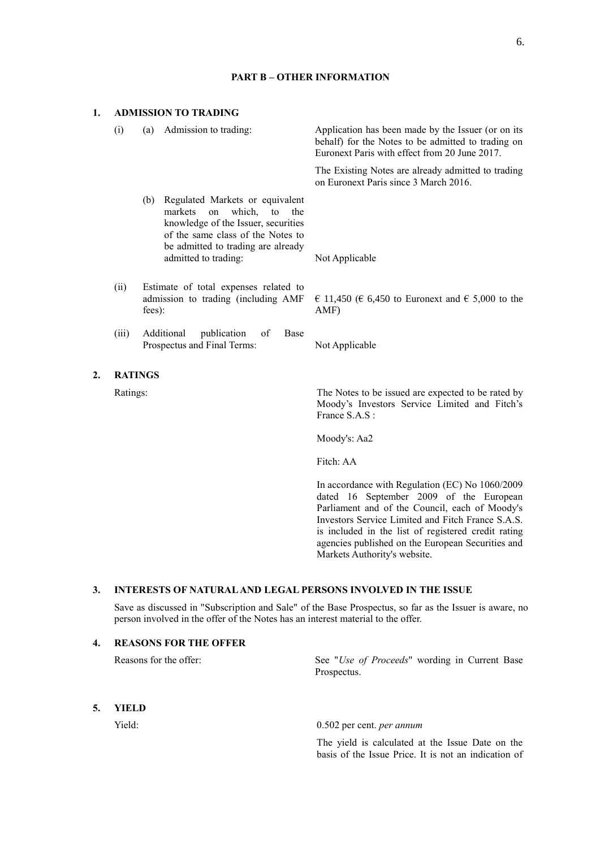## **PART B – OTHER INFORMATION**

#### **1. ADMISSION TO TRADING**

| (i)   | (a)      | Admission to trading:                                                                                                                                                         | Application has been made by the Issuer (or on its<br>behalf) for the Notes to be admitted to trading on<br>Euronext Paris with effect from 20 June 2017. |
|-------|----------|-------------------------------------------------------------------------------------------------------------------------------------------------------------------------------|-----------------------------------------------------------------------------------------------------------------------------------------------------------|
|       |          |                                                                                                                                                                               | The Existing Notes are already admitted to trading<br>on Euronext Paris since 3 March 2016.                                                               |
|       | (b)      | Regulated Markets or equivalent<br>markets on which, to the<br>knowledge of the Issuer, securities<br>of the same class of the Notes to<br>be admitted to trading are already |                                                                                                                                                           |
|       |          | admitted to trading:                                                                                                                                                          | Not Applicable                                                                                                                                            |
| (ii)  | $fees$ : | Estimate of total expenses related to<br>admission to trading (including AMF)                                                                                                 | € 11,450 (€ 6,450 to Euronext and € 5,000 to the<br>AMF)                                                                                                  |
| (iii) |          | publication<br>of<br>Additional<br>Base<br>Prospectus and Final Terms:                                                                                                        | Not Applicable                                                                                                                                            |

**2. RATINGS**

Ratings: The Notes to be issued are expected to be rated by Moody's Investors Service Limited and Fitch's France S.A.S :

Moody's: Aa2

Fitch: AA

In accordance with Regulation (EC) No 1060/2009 dated 16 September 2009 of the European Parliament and of the Council, each of Moody's Investors Service Limited and Fitch France S.A.S. is included in the list of registered credit rating agencies published on the European Securities and Markets Authority's website.

## **3. INTERESTS OF NATURAL AND LEGAL PERSONS INVOLVED IN THE ISSUE**

Save as discussed in "Subscription and Sale" of the Base Prospectus, so far as the Issuer is aware, no person involved in the offer of the Notes has an interest material to the offer.

## **4. REASONS FOR THE OFFER**

|    | Reasons for the offer: | See " <i>Use of Proceeds</i> " wording in Current Base<br>Prospectus. |  |
|----|------------------------|-----------------------------------------------------------------------|--|
| 5. | <b>YIELD</b>           |                                                                       |  |

## Yield: 0.502 per cent. *per annum*

The yield is calculated at the Issue Date on the basis of the Issue Price. It is not an indication of